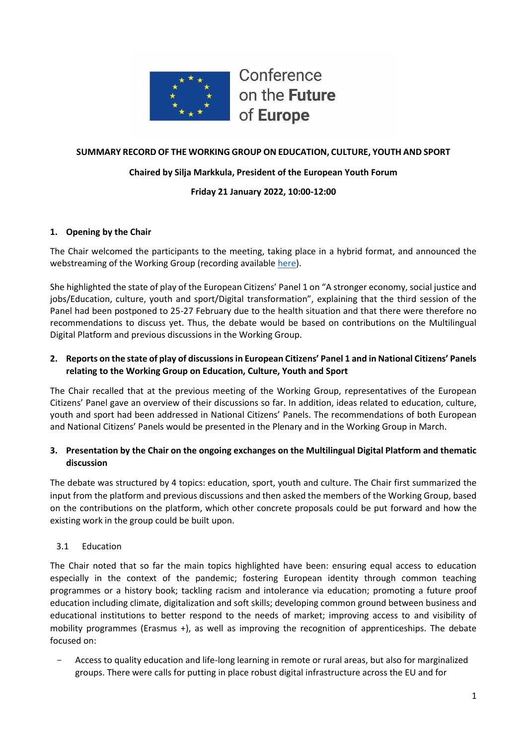

Conference on the Future of Europe

## **SUMMARY RECORD OF THE WORKING GROUP ON EDUCATION, CULTURE, YOUTH AND SPORT**

## **Chaired by Silja Markkula, President of the European Youth Forum**

### **Friday 21 January 2022, 10:00-12:00**

### **1. Opening by the Chair**

The Chair welcomed the participants to the meeting, taking place in a hybrid format, and announced the webstreaming of the Working Group (recording available [here\)](https://multimedia.europarl.europa.eu/webstreaming/conference-on-future-of-europe-workgroup-on-education-culture-youth-and-sport_20220121-1000-SPECIAL-OTHER-1).

She highlighted the state of play of the European Citizens' Panel 1 on "A stronger economy, social justice and jobs/Education, culture, youth and sport/Digital transformation", explaining that the third session of the Panel had been postponed to 25-27 February due to the health situation and that there were therefore no recommendations to discuss yet. Thus, the debate would be based on contributions on the Multilingual Digital Platform and previous discussions in the Working Group.

## **2. Reports on the state of play of discussions in European Citizens' Panel 1 and in National Citizens' Panels relating to the Working Group on Education, Culture, Youth and Sport**

The Chair recalled that at the previous meeting of the Working Group, representatives of the European Citizens' Panel gave an overview of their discussions so far. In addition, ideas related to education, culture, youth and sport had been addressed in National Citizens' Panels. The recommendations of both European and National Citizens' Panels would be presented in the Plenary and in the Working Group in March.

## **3. Presentation by the Chair on the ongoing exchanges on the Multilingual Digital Platform and thematic discussion**

The debate was structured by 4 topics: education, sport, youth and culture. The Chair first summarized the input from the platform and previous discussions and then asked the members of the Working Group, based on the contributions on the platform, which other concrete proposals could be put forward and how the existing work in the group could be built upon.

### 3.1 Education

The Chair noted that so far the main topics highlighted have been: ensuring equal access to education especially in the context of the pandemic; fostering European identity through common teaching programmes or a history book; tackling racism and intolerance via education; promoting a future proof education including climate, digitalization and soft skills; developing common ground between business and educational institutions to better respond to the needs of market; improving access to and visibility of mobility programmes (Erasmus +), as well as improving the recognition of apprenticeships. The debate focused on:

- Access to quality education and life-long learning in remote or rural areas, but also for marginalized groups. There were calls for putting in place robust digital infrastructure across the EU and for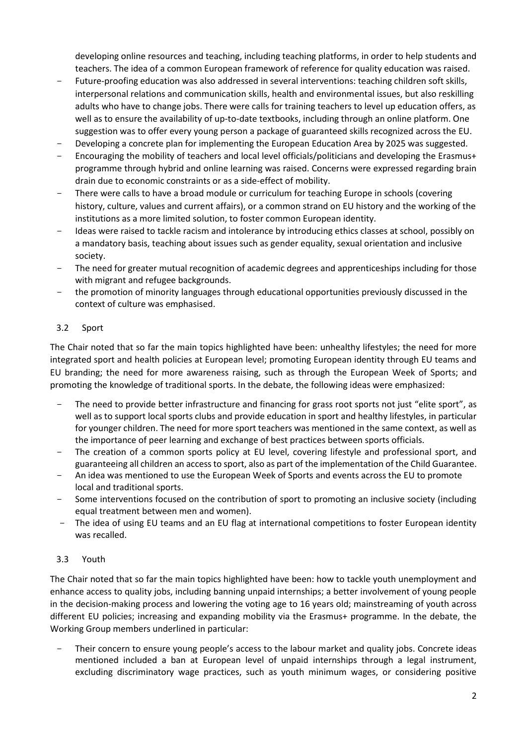developing online resources and teaching, including teaching platforms, in order to help students and teachers. The idea of a common European framework of reference for quality education was raised.

- Future-proofing education was also addressed in several interventions: teaching children soft skills, interpersonal relations and communication skills, health and environmental issues, but also reskilling adults who have to change jobs. There were calls for training teachers to level up education offers, as well as to ensure the availability of up-to-date textbooks, including through an online platform. One suggestion was to offer every young person a package of guaranteed skills recognized across the EU.
- Developing a concrete plan for implementing the European Education Area by 2025 was suggested.
- Encouraging the mobility of teachers and local level officials/politicians and developing the Erasmus+ programme through hybrid and online learning was raised. Concerns were expressed regarding brain drain due to economic constraints or as a side-effect of mobility.
- There were calls to have a broad module or curriculum for teaching Europe in schools (covering history, culture, values and current affairs), or a common strand on EU history and the working of the institutions as a more limited solution, to foster common European identity.
- Ideas were raised to tackle racism and intolerance by introducing ethics classes at school, possibly on a mandatory basis, teaching about issues such as gender equality, sexual orientation and inclusive society.
- The need for greater mutual recognition of academic degrees and apprenticeships including for those with migrant and refugee backgrounds.
- the promotion of minority languages through educational opportunities previously discussed in the context of culture was emphasised.

### 3.2 Sport

The Chair noted that so far the main topics highlighted have been: unhealthy lifestyles; the need for more integrated sport and health policies at European level; promoting European identity through EU teams and EU branding; the need for more awareness raising, such as through the European Week of Sports; and promoting the knowledge of traditional sports. In the debate, the following ideas were emphasized:

- The need to provide better infrastructure and financing for grass root sports not just "elite sport", as well as to support local sports clubs and provide education in sport and healthy lifestyles, in particular for younger children. The need for more sport teachers was mentioned in the same context, as well as the importance of peer learning and exchange of best practices between sports officials.
- The creation of a common sports policy at EU level, covering lifestyle and professional sport, and guaranteeing all children an access to sport, also as part of the implementation of the Child Guarantee.
- An idea was mentioned to use the European Week of Sports and events across the EU to promote local and traditional sports.
- Some interventions focused on the contribution of sport to promoting an inclusive society (including equal treatment between men and women).
- The idea of using EU teams and an EU flag at international competitions to foster European identity was recalled.

### 3.3 Youth

The Chair noted that so far the main topics highlighted have been: how to tackle youth unemployment and enhance access to quality jobs, including banning unpaid internships; a better involvement of young people in the decision-making process and lowering the voting age to 16 years old; mainstreaming of youth across different EU policies; increasing and expanding mobility via the Erasmus+ programme. In the debate, the Working Group members underlined in particular:

Their concern to ensure young people's access to the labour market and quality jobs. Concrete ideas mentioned included a ban at European level of unpaid internships through a legal instrument, excluding discriminatory wage practices, such as youth minimum wages, or considering positive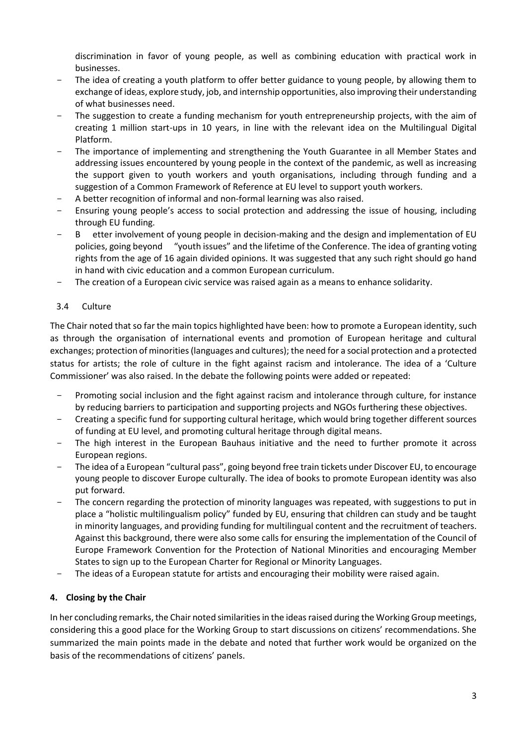discrimination in favor of young people, as well as combining education with practical work in businesses.

- The idea of creating a youth platform to offer better guidance to young people, by allowing them to exchange of ideas, explore study, job, and internship opportunities, also improving their understanding of what businesses need.
- The suggestion to create a funding mechanism for youth entrepreneurship projects, with the aim of creating 1 million start-ups in 10 years, in line with the relevant idea on the Multilingual Digital Platform.
- The importance of implementing and strengthening the Youth Guarantee in all Member States and addressing issues encountered by young people in the context of the pandemic, as well as increasing the support given to youth workers and youth organisations, including through funding and a suggestion of a Common Framework of Reference at EU level to support youth workers.
- A better recognition of informal and non-formal learning was also raised.
- Ensuring young people's access to social protection and addressing the issue of housing, including through EU funding.
- B etter involvement of young people in decision-making and the design and implementation of EU policies, going beyond "youth issues" and the lifetime of the Conference. The idea of granting voting rights from the age of 16 again divided opinions. It was suggested that any such right should go hand in hand with civic education and a common European curriculum.
- The creation of a European civic service was raised again as a means to enhance solidarity.

#### 3.4 Culture

The Chair noted that so far the main topics highlighted have been: how to promote a European identity, such as through the organisation of international events and promotion of European heritage and cultural exchanges; protection of minorities (languages and cultures); the need for a social protection and a protected status for artists; the role of culture in the fight against racism and intolerance. The idea of a 'Culture Commissioner' was also raised. In the debate the following points were added or repeated:

- Promoting social inclusion and the fight against racism and intolerance through culture, for instance by reducing barriers to participation and supporting projects and NGOs furthering these objectives.
- Creating a specific fund for supporting cultural heritage, which would bring together different sources of funding at EU level, and promoting cultural heritage through digital means.
- The high interest in the European Bauhaus initiative and the need to further promote it across European regions.
- The idea of a European "cultural pass", going beyond free train tickets under Discover EU, to encourage young people to discover Europe culturally. The idea of books to promote European identity was also put forward.
- The concern regarding the protection of minority languages was repeated, with suggestions to put in place a "holistic multilingualism policy" funded by EU, ensuring that children can study and be taught in minority languages, and providing funding for multilingual content and the recruitment of teachers. Against this background, there were also some calls for ensuring the implementation of the Council of Europe Framework Convention for the Protection of National Minorities and encouraging Member States to sign up to the European Charter for Regional or Minority Languages.
- The ideas of a European statute for artists and encouraging their mobility were raised again.

### **4. Closing by the Chair**

In her concluding remarks, the Chair noted similarities in the ideas raised during the Working Group meetings, considering this a good place for the Working Group to start discussions on citizens' recommendations. She summarized the main points made in the debate and noted that further work would be organized on the basis of the recommendations of citizens' panels.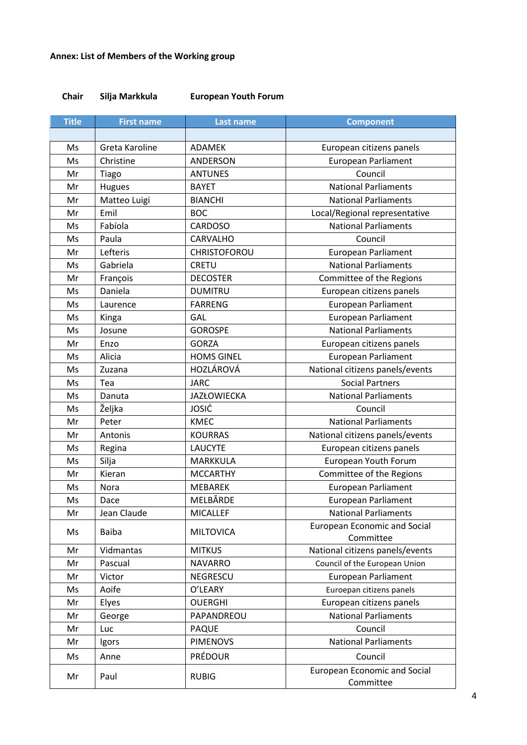# **Annex: List of Members of the Working group**

# **Chair Silja Markkula European Youth Forum**

| <b>Title</b> | <b>First name</b> | <b>Last name</b>    | <b>Component</b>                                 |
|--------------|-------------------|---------------------|--------------------------------------------------|
|              |                   |                     |                                                  |
| Ms           | Greta Karoline    | <b>ADAMEK</b>       | European citizens panels                         |
| Ms           | Christine         | <b>ANDERSON</b>     | <b>European Parliament</b>                       |
| Mr           | Tiago             | <b>ANTUNES</b>      | Council                                          |
| Mr           | Hugues            | <b>BAYET</b>        | <b>National Parliaments</b>                      |
| Mr           | Matteo Luigi      | <b>BIANCHI</b>      | <b>National Parliaments</b>                      |
| Mr           | Emil              | <b>BOC</b>          | Local/Regional representative                    |
| Ms           | Fabíola           | <b>CARDOSO</b>      | <b>National Parliaments</b>                      |
| Ms           | Paula             | CARVALHO            | Council                                          |
| Mr           | Lefteris          | <b>CHRISTOFOROU</b> | <b>European Parliament</b>                       |
| Ms           | Gabriela          | <b>CRETU</b>        | <b>National Parliaments</b>                      |
| Mr           | François          | <b>DECOSTER</b>     | Committee of the Regions                         |
| Ms           | Daniela           | <b>DUMITRU</b>      | European citizens panels                         |
| Ms           | Laurence          | <b>FARRENG</b>      | <b>European Parliament</b>                       |
| Ms           | Kinga             | GAL                 | <b>European Parliament</b>                       |
| Ms           | Josune            | <b>GOROSPE</b>      | <b>National Parliaments</b>                      |
| Mr           | Enzo              | <b>GORZA</b>        | European citizens panels                         |
| Ms           | Alicia            | <b>HOMS GINEL</b>   | <b>European Parliament</b>                       |
| Ms           | Zuzana            | HOZLÁROVÁ           | National citizens panels/events                  |
| Ms           | Tea               | <b>JARC</b>         | <b>Social Partners</b>                           |
| Ms           | Danuta            | <b>JAZŁOWIECKA</b>  | <b>National Parliaments</b>                      |
| Ms           | Željka            | JOSIĆ               | Council                                          |
| Mr           | Peter             | <b>KMEC</b>         | <b>National Parliaments</b>                      |
| Mr           | Antonis           | <b>KOURRAS</b>      | National citizens panels/events                  |
| Ms           | Regina            | <b>LAUCYTE</b>      | European citizens panels                         |
| Ms           | Silja             | MARKKULA            | European Youth Forum                             |
| Mr           | Kieran            | <b>MCCARTHY</b>     | Committee of the Regions                         |
| Ms           | <b>Nora</b>       | <b>MEBAREK</b>      | <b>European Parliament</b>                       |
| Ms           | Dace              | MELBĀRDE            | <b>European Parliament</b>                       |
| Mr           | Jean Claude       | MICALLEF            | <b>National Parliaments</b>                      |
| Ms           | Baiba             | <b>MILTOVICA</b>    | <b>European Economic and Social</b><br>Committee |
| Mr           | Vidmantas         | <b>MITKUS</b>       | National citizens panels/events                  |
| Mr           | Pascual           | <b>NAVARRO</b>      | Council of the European Union                    |
| Mr           | Victor            | NEGRESCU            | <b>European Parliament</b>                       |
| Ms           | Aoife             | O'LEARY             | Euroepan citizens panels                         |
| Mr           | Elyes             | <b>OUERGHI</b>      | European citizens panels                         |
| Mr           | George            | PAPANDREOU          | <b>National Parliaments</b>                      |
| Mr           | Luc               | <b>PAQUE</b>        | Council                                          |
| Mr           | Igors             | <b>PIMENOVS</b>     | <b>National Parliaments</b>                      |
| Ms           | Anne              | <b>PRÉDOUR</b>      | Council                                          |
| Mr           | Paul              | <b>RUBIG</b>        | <b>European Economic and Social</b><br>Committee |